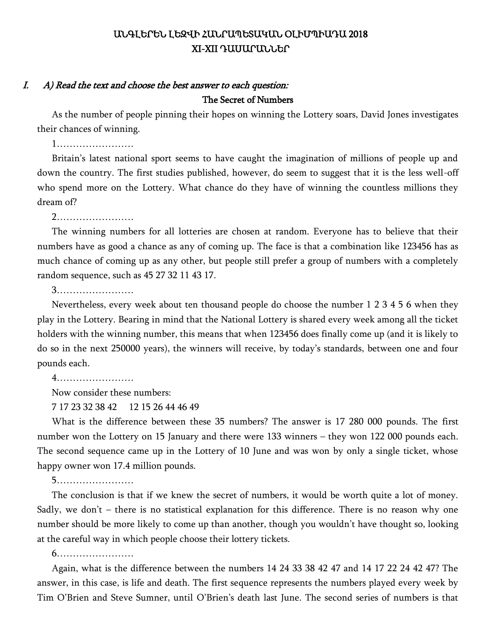## ԱՆԳԼԵՐԵՆ ԼԵԶՎԻ ՀԱՆՐԱՊԵՏԱԿԱՆ ՕԼԻՄՊԻԱԴԱ 2018 XI-XII ԴԱՍԱՐԱՆՆԵՐ

#### I. A) Read the text and choose the best answer to each question: The Secret of Numbers

As the number of people pinning their hopes on winning the Lottery soars, David Jones investigates their chances of winning.

1……………………

Britain's latest national sport seems to have caught the imagination of millions of people up and down the country. The first studies published, however, do seem to suggest that it is the less well-off who spend more on the Lottery. What chance do they have of winning the countless millions they dream of?

2……………………

The winning numbers for all lotteries are chosen at random. Everyone has to believe that their numbers have as good a chance as any of coming up. The face is that a combination like 123456 has as much chance of coming up as any other, but people still prefer a group of numbers with a completely random sequence, such as 45 27 32 11 43 17.

3……………………

Nevertheless, every week about ten thousand people do choose the number 1 2 3 4 5 6 when they play in the Lottery. Bearing in mind that the National Lottery is shared every week among all the ticket holders with the winning number, this means that when 123456 does finally come up (and it is likely to do so in the next 250000 years), the winners will receive, by today's standards, between one and four pounds each.

4……………………

Now consider these numbers:

7 17 23 32 38 42 12 15 26 44 46 49

What is the difference between these 35 numbers? The answer is 17 280 000 pounds. The first number won the Lottery on 15 January and there were 133 winners – they won 122 000 pounds each. The second sequence came up in the Lottery of 10 June and was won by only a single ticket, whose happy owner won 17.4 million pounds.

5……………………

The conclusion is that if we knew the secret of numbers, it would be worth quite a lot of money. Sadly, we don't – there is no statistical explanation for this difference. There is no reason why one number should be more likely to come up than another, though you wouldn't have thought so, looking at the careful way in which people choose their lottery tickets.

6……………………

Again, what is the difference between the numbers 14 24 33 38 42 47 and 14 17 22 24 42 47? The answer, in this case, is life and death. The first sequence represents the numbers played every week by Tim O'Brien and Steve Sumner, until O'Brien's death last June. The second series of numbers is that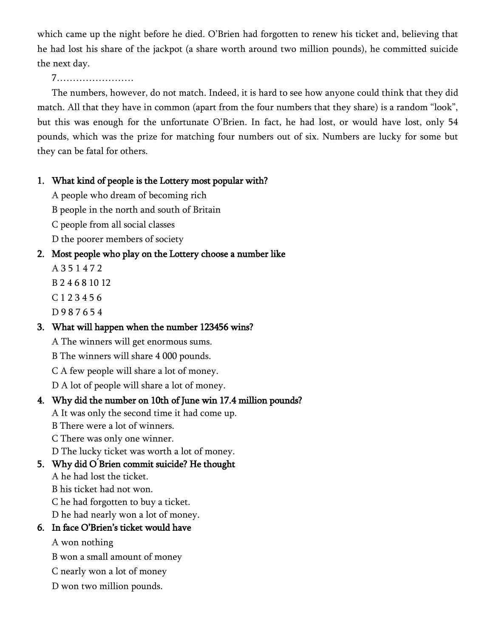which came up the night before he died. O'Brien had forgotten to renew his ticket and, believing that he had lost his share of the jackpot (a share worth around two million pounds), he committed suicide the next day.

#### 7……………………

The numbers, however, do not match. Indeed, it is hard to see how anyone could think that they did match. All that they have in common (apart from the four numbers that they share) is a random "look", but this was enough for the unfortunate O'Brien. In fact, he had lost, or would have lost, only 54 pounds, which was the prize for matching four numbers out of six. Numbers are lucky for some but they can be fatal for others.

### 1. What kind of people is the Lottery most popular with?

A people who dream of becoming rich

B people in the north and south of Britain

C people from all social classes

D the poorer members of society

## 2. Most people who play on the Lottery choose a number like

A 3 5 1 4 7 2

B 2 4 6 8 10 12

C 1 2 3 4 5 6

D 9 8 7 6 5 4

## 3. What will happen when the number 123456 wins?

A The winners will get enormous sums.

B The winners will share 4 000 pounds.

C A few people will share a lot of money.

D A lot of people will share a lot of money.

## 4. Why did the number on 10th of June win 17.4 million pounds?

A It was only the second time it had come up.

B There were a lot of winners.

C There was only one winner.

D The lucky ticket was worth a lot of money.

## 5. Why did O **́**Brien commit suicide? He thought

A he had lost the ticket.

B his ticket had not won.

C he had forgotten to buy a ticket.

D he had nearly won a lot of money.

## 6. In face O'Brien's ticket would have

A won nothing

B won a small amount of money

- C nearly won a lot of money
- D won two million pounds.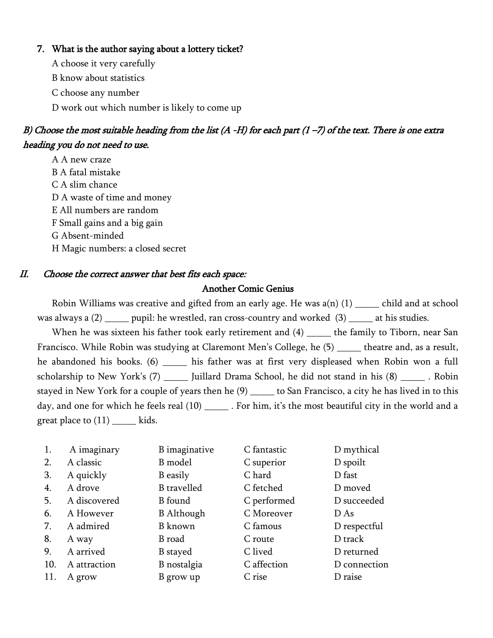#### 7. What is the author saying about a lottery ticket?

A choose it very carefully

B know about statistics

C choose any number

D work out which number is likely to come up

# B) Choose the most suitable heading from the list (A -H) for each part (1 –7) of the text. There is one extra heading you do not need to use.

A A new craze B A fatal mistake C A slim chance D A waste of time and money E All numbers are random F Small gains and a big gain G Absent-minded H Magic numbers: a closed secret

#### II. Choose the correct answer that best fits each space:

#### Another Comic Genius

Robin Williams was creative and gifted from an early age. He was  $a(n)$  (1) \_\_\_\_\_ child and at school was always a (2) \_\_\_\_\_ pupil: he wrestled, ran cross-country and worked (3) \_\_\_\_\_ at his studies.

When he was sixteen his father took early retirement and (4) the family to Tiborn, near San Francisco. While Robin was studying at Claremont Men's College, he (5) \_\_\_\_\_ theatre and, as a result, he abandoned his books. (6) \_\_\_\_\_\_ his father was at first very displeased when Robin won a full scholarship to New York's (7) \_\_\_\_\_ Juillard Drama School, he did not stand in his (8) \_\_\_\_\_ . Robin stayed in New York for a couple of years then he (9) to San Francisco, a city he has lived in to this day, and one for which he feels real (10) \_\_\_\_\_\_\_. For him, it's the most beautiful city in the world and a great place to  $(11)$  \_\_\_\_\_ kids.

| 1.  | A imaginary  | B imaginative      | C fantastic | D mythical   |
|-----|--------------|--------------------|-------------|--------------|
| 2.  | A classic    | B model            | C superior  | D spoilt     |
| 3.  | A quickly    | <b>B</b> easily    | C hard      | D fast       |
| 4.  | A drove      | <b>B</b> travelled | C fetched   | D moved      |
| 5.  | A discovered | <b>B</b> found     | C performed | D succeeded  |
| 6.  | A However    | <b>B</b> Although  | C Moreover  | D As         |
| 7.  | A admired    | <b>B</b> known     | C famous    | D respectful |
| 8.  | A way        | B road             | C route     | D track      |
| 9.  | A arrived    | <b>B</b> stayed    | C lived     | D returned   |
| 10. | A attraction | B nostalgia        | C affection | D connection |
| 11. | A grow       | B grow up          | C rise      | D raise      |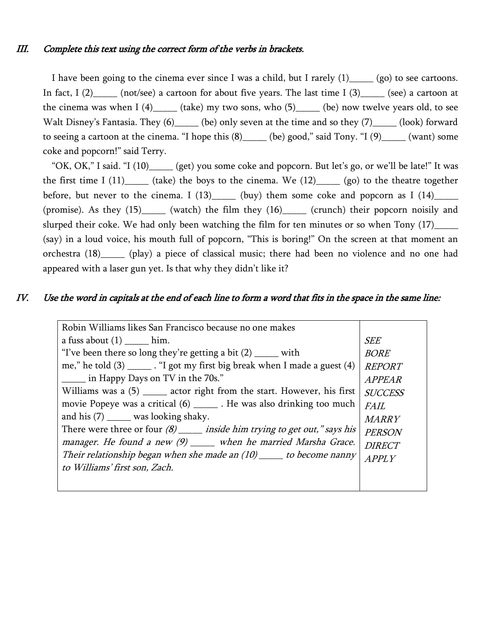I have been going to the cinema ever since I was a child, but I rarely  $(1)$  (go) to see cartoons. In fact,  $I(2)$  (not/see) a cartoon for about five years. The last time  $I(3)$  (see) a cartoon at the cinema was when  $I(4)$  (take) my two sons, who  $(5)$  (be) now twelve years old, to see Walt Disney's Fantasia. They (6) \_\_\_\_\_ (be) only seven at the time and so they (7) \_\_\_\_\_ (look) forward to seeing a cartoon at the cinema. "I hope this  $(8)$  \_\_\_\_\_ (be) good," said Tony. "I  $(9)$  \_\_\_\_\_ (want) some coke and popcorn!" said Terry.

"OK, OK," I said. "I (10)\_\_\_\_\_ (get) you some coke and popcorn. But let's go, or we'll be late!" It was the first time I  $(11)$  (take) the boys to the cinema. We  $(12)$  (go) to the theatre together before, but never to the cinema. I  $(13)$  (buy) them some coke and popcorn as I  $(14)$ (promise). As they (15)\_\_\_\_\_ (watch) the film they (16)\_\_\_\_\_ (crunch) their popcorn noisily and slurped their coke. We had only been watching the film for ten minutes or so when Tony (17)\_\_\_\_\_ (say) in a loud voice, his mouth full of popcorn, "This is boring!" On the screen at that moment an orchestra (18)\_\_\_\_\_ (play) a piece of classical music; there had been no violence and no one had appeared with a laser gun yet. Is that why they didn't like it?

#### IV. Use the word in capitals at the end of each line to form a word that fits in the space in the same line:

| Robin Williams likes San Francisco because no one makes                        |                |
|--------------------------------------------------------------------------------|----------------|
| a fuss about $(1)$ ______ him.                                                 | <i>SEE</i>     |
| "I've been there so long they're getting a bit $(2)$ _____ with                | <b>BORE</b>    |
| me," he told $(3)$ ______. "I got my first big break when I made a guest $(4)$ | <b>REPORT</b>  |
| in Happy Days on TV in the 70s."                                               | <b>APPEAR</b>  |
| Williams was a (5) ______ actor right from the start. However, his first       | <b>SUCCESS</b> |
| movie Popeye was a critical $(6)$ ______. He was also drinking too much        | <i>FAIL</i>    |
| and his $(7)$ _______ was looking shaky.                                       | <b>MARRY</b>   |
| There were three or four $(8)$ ______ inside him trying to get out," says his  | <b>PERSON</b>  |
| manager. He found a new (9) _____ when he married Marsha Grace.                | <b>DIRECT</b>  |
| Their relationship began when she made an $(10)$ _____ to become nanny         | APPLY          |
| to Williams' first son, Zach.                                                  |                |
|                                                                                |                |